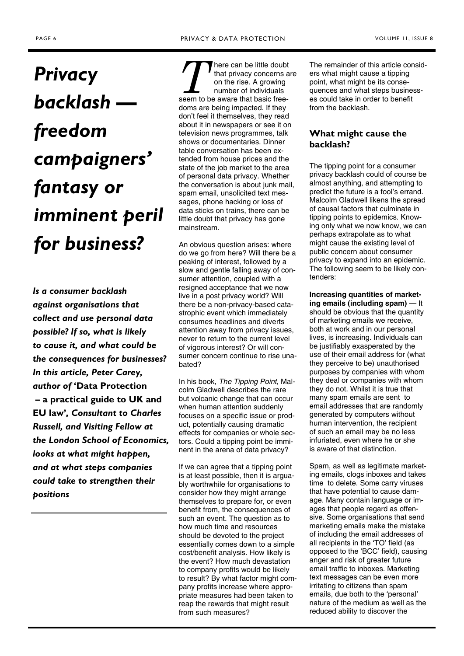# *Privacy backlash freedom campaigners' fantasy or imminent peril for business?*

*Is a consumer backlash against organisations that collect and use personal data possible? If so, what is likely to cause it, and what could be the consequences for businesses? In this article, Peter Carey, author of* **'Data Protection – a practical guide to UK and EU law'***, Consultant to Charles Russell, and Visiting Fellow at the London School of Economics, looks at what might happen, and at what steps companies could take to strengthen their positions* 

There can be little doubt<br>
that privacy concerns a<br>
on the rise. A growing<br>
number of individuals<br>
seem to be aware that basic freethat privacy concerns are on the rise. A growing number of individuals doms are being impacted. If they don't feel it themselves, they read about it in newspapers or see it on television news programmes, talk shows or documentaries. Dinner table conversation has been extended from house prices and the state of the job market to the area of personal data privacy. Whether the conversation is about junk mail, spam email, unsolicited text messages, phone hacking or loss of data sticks on trains, there can be little doubt that privacy has gone mainstream.

An obvious question arises: where do we go from here? Will there be a peaking of interest, followed by a slow and gentle falling away of consumer attention, coupled with a resigned acceptance that we now live in a post privacy world? Will there be a non-privacy-based catastrophic event which immediately consumes headlines and diverts attention away from privacy issues, never to return to the current level of vigorous interest? Or will consumer concern continue to rise unabated?

In his book, *The Tipping Point*, Malcolm Gladwell describes the rare but volcanic change that can occur when human attention suddenly focuses on a specific issue or product, potentially causing dramatic effects for companies or whole sectors. Could a tipping point be imminent in the arena of data privacy?

If we can agree that a tipping point is at least possible, then it is arguably worthwhile for organisations to consider how they might arrange themselves to prepare for, or even benefit from, the consequences of such an event. The question as to how much time and resources should be devoted to the project essentially comes down to a simple cost/benefit analysis. How likely is the event? How much devastation to company profits would be likely to result? By what factor might company profits increase where appropriate measures had been taken to reap the rewards that might result from such measures?

The remainder of this article considers what might cause a tipping point, what might be its consequences and what steps businesses could take in order to benefit from the backlash.

# **What might cause the backlash?**

The tipping point for a consumer privacy backlash could of course be almost anything, and attempting to predict the future is a fool's errand. Malcolm Gladwell likens the spread of causal factors that culminate in tipping points to epidemics. Knowing only what we now know, we can perhaps extrapolate as to what might cause the existing level of public concern about consumer privacy to expand into an epidemic. The following seem to be likely contenders:

**Increasing quantities of marketing emails (including spam)** — It should be obvious that the quantity of marketing emails we receive, both at work and in our personal lives, is increasing. Individuals can be justifiably exasperated by the use of their email address for (what they perceive to be) unauthorised purposes by companies with whom they deal or companies with whom they do not. Whilst it is true that many spam emails are sent to email addresses that are randomly generated by computers without human intervention, the recipient of such an email may be no less infuriated, even where he or she is aware of that distinction.

Spam, as well as legitimate marketing emails, clogs inboxes and takes time to delete. Some carry viruses that have potential to cause damage. Many contain language or images that people regard as offensive. Some organisations that send marketing emails make the mistake of including the email addresses of all recipients in the 'TO' field (as opposed to the 'BCC' field), causing anger and risk of greater future email traffic to inboxes. Marketing text messages can be even more irritating to citizens than spam emails, due both to the 'personal' nature of the medium as well as the reduced ability to discover the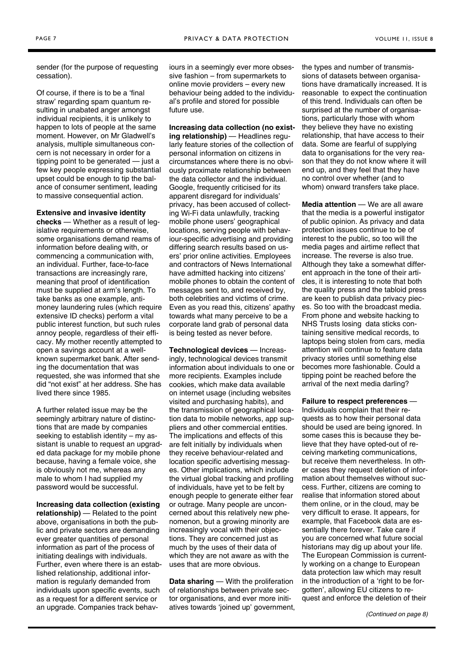<span id="page-1-0"></span>sender (for the purpose of requesting cessation).

Of course, if there is to be a 'final straw' regarding spam quantum resulting in unabated anger amongst individual recipients, it is unlikely to happen to lots of people at the same moment. However, on Mr Gladwell's analysis, multiple simultaneous concern is not necessary in order for a tipping point to be generated — just a few key people expressing substantial upset could be enough to tip the balance of consumer sentiment, leading to massive consequential action.

#### **Extensive and invasive identity**

**checks** — Whether as a result of legislative requirements or otherwise, some organisations demand reams of information before dealing with, or commencing a communication with, an individual. Further, face-to-face transactions are increasingly rare, meaning that proof of identification must be supplied at arm's length. To take banks as one example, antimoney laundering rules (which require extensive ID checks) perform a vital public interest function, but such rules annoy people, regardless of their efficacy. My mother recently attempted to open a savings account at a wellknown supermarket bank. After sending the documentation that was requested, she was informed that she did "not exist" at her address. She has lived there since 1985.

A further related issue may be the seemingly arbitrary nature of distinctions that are made by companies seeking to establish identity – my assistant is unable to request an upgraded data package for my mobile phone because, having a female voice, she is obviously not me, whereas any male to whom I had supplied my password would be successful.

**Increasing data collection (existing relationship)** — Related to the point above, organisations in both the public and private sectors are demanding ever greater quantities of personal information as part of the process of initiating dealings with individuals. Further, even where there is an established relationship, additional information is regularly demanded from individuals upon specific events, such as a request for a different service or an upgrade. Companies track behaviours in a seemingly ever more obsessive fashion – from supermarkets to online movie providers – every new behaviour being added to the individual's profile and stored for possible future use.

**Increasing data collection (no existing relationship)** — Headlines regularly feature stories of the collection of personal information on citizens in circumstances where there is no obviously proximate relationship between the data collector and the individual. Google, frequently criticised for its apparent disregard for individuals' privacy, has been accused of collecting Wi-Fi data unlawfully, tracking mobile phone users' geographical locations, serving people with behaviour-specific advertising and providing differing search results based on users' prior online activities. Employees and contractors of News International have admitted hacking into citizens' mobile phones to obtain the content of messages sent to, and received by, both celebrities and victims of crime. Even as you read this, citizens' apathy towards what many perceive to be a corporate land grab of personal data is being tested as never before.

**Technological devices** — Increasingly, technological devices transmit information about individuals to one or more recipients. Examples include cookies, which make data available on internet usage (including websites visited and purchasing habits), and the transmission of geographical location data to mobile networks, app suppliers and other commercial entities. The implications and effects of this are felt initially by individuals when they receive behaviour-related and location specific advertising messages. Other implications, which include the virtual global tracking and profiling of individuals, have yet to be felt by enough people to generate either fear or outrage. Many people are unconcerned about this relatively new phenomenon, but a growing minority are increasingly vocal with their objections. They are concerned just as much by the uses of their data of which they are not aware as with the uses that are more obvious.

**Data sharing** — With the proliferation of relationships between private sector organisations, and ever more initiatives towards 'joined up' government, the types and number of transmissions of datasets between organisations have dramatically increased. It is reasonable to expect the continuation of this trend. Individuals can often be surprised at the number of organisations, particularly those with whom they believe they have no existing relationship, that have access to their data. Some are fearful of supplying data to organisations for the very reason that they do not know where it will end up, and they feel that they have no control over whether (and to whom) onward transfers take place.

**Media attention** — We are all aware that the media is a powerful instigator of public opinion. As privacy and data protection issues continue to be of interest to the public, so too will the media pages and airtime reflect that increase. The reverse is also true. Although they take a somewhat different approach in the tone of their articles, it is interesting to note that both the quality press and the tabloid press are keen to publish data privacy pieces. So too with the broadcast media. From phone and website hacking to NHS Trusts losing data sticks containing sensitive medical records, to laptops being stolen from cars, media attention will continue to feature data privacy stories until something else becomes more fashionable. Could a tipping point be reached before the arrival of the next media darling?

**Failure to respect preferences -**Individuals complain that their requests as to how their personal data should be used are being ignored. In some cases this is because they believe that they have opted-out of receiving marketing communications, but receive them nevertheless. In other cases they request deletion of information about themselves without success. Further, citizens are coming to realise that information stored about them online, or in the cloud, may be very difficult to erase. It appears, for example, that Facebook data are essentially there forever. Take care if you are concerned what future social historians may dig up about your life. The European Commission is currently working on a change to European data protection law which may result in the introduction of a 'right to be forgotten', allowing EU citizens to request and enforce the deletion of their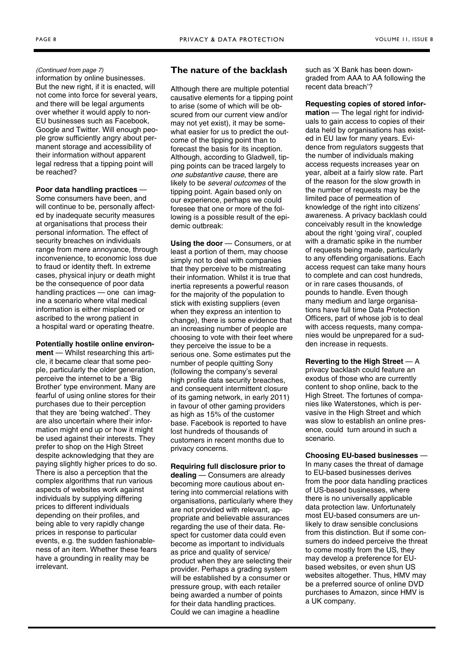#### <span id="page-2-0"></span>*[\(Continued from page 7\)](#page-1-0)*

information by online businesses. But the new right, if it is enacted, will not come into force for several years, and there will be legal arguments over whether it would apply to non-EU businesses such as Facebook, Google and Twitter. Will enough people grow sufficiently angry about permanent storage and accessibility of their information without apparent legal redress that a tipping point will be reached?

#### **Poor data handling practices** —

Some consumers have been, and will continue to be, personally affected by inadequate security measures at organisations that process their personal information. The effect of security breaches on individuals range from mere annoyance, through inconvenience, to economic loss due to fraud or identity theft. In extreme cases, physical injury or death might be the consequence of poor data handling practices — one can imagine a scenario where vital medical information is either misplaced or ascribed to the wrong patient in a hospital ward or operating theatre.

### **Potentially hostile online environ-**

**ment** — Whilst researching this article, it became clear that some people, particularly the older generation, perceive the internet to be a 'Big Brother' type environment. Many are fearful of using online stores for their purchases due to their perception that they are 'being watched'. They are also uncertain where their information might end up or how it might be used against their interests. They prefer to shop on the High Street despite acknowledging that they are paying slightly higher prices to do so. There is also a perception that the complex algorithms that run various aspects of websites work against individuals by supplying differing prices to different individuals depending on their profiles, and being able to very rapidly change prices in response to particular events, e.g. the sudden fashionableness of an item. Whether these fears have a grounding in reality may be irrelevant.

# **The nature of the backlash**

Although there are multiple potential causative elements for a tipping point to arise (some of which will be obscured from our current view and/or may not yet exist), it may be somewhat easier for us to predict the outcome of the tipping point than to forecast the basis for its inception. Although, according to Gladwell, tipping points can be traced largely to *one substantive cause*, there are likely to be *several outcomes* of the tipping point. Again based only on our experience, perhaps we could foresee that one or more of the following is a possible result of the epidemic outbreak:

**Using the door** — Consumers, or at least a portion of them, may choose simply not to deal with companies that they perceive to be mistreating their information. Whilst it is true that inertia represents a powerful reason for the majority of the population to stick with existing suppliers (even when they express an intention to change), there is some evidence that an increasing number of people are choosing to vote with their feet where they perceive the issue to be a serious one. Some estimates put the number of people quitting Sony (following the company's several high profile data security breaches, and consequent intermittent closure of its gaming network, in early 2011) in favour of other gaming providers as high as 15% of the customer base. Facebook is reported to have lost hundreds of thousands of customers in recent months due to privacy concerns.

#### **Requiring full disclosure prior to**

**dealing** — Consumers are already becoming more cautious about entering into commercial relations with organisations, particularly where they are not provided with relevant, appropriate and believable assurances regarding the use of their data. Respect for customer data could even become as important to individuals as price and quality of service/ product when they are selecting their provider. Perhaps a grading system will be established by a consumer or pressure group, with each retailer being awarded a number of points for their data handling practices. Could we can imagine a headline

such as 'X Bank has been downgraded from AAA to AA following the recent data breach'?

## **Requesting copies of stored infor-**

**mation** — The legal right for individuals to gain access to copies of their data held by organisations has existed in EU law for many years. Evidence from regulators suggests that the number of individuals making access requests increases year on year, albeit at a fairly slow rate. Part of the reason for the slow growth in the number of requests may be the limited pace of permeation of knowledge of the right into citizens' awareness. A privacy backlash could conceivably result in the knowledge about the right 'going viral', coupled with a dramatic spike in the number of requests being made, particularly to any offending organisations. Each access request can take many hours to complete and can cost hundreds, or in rare cases thousands, of pounds to handle. Even though many medium and large organisations have full time Data Protection Officers, part of whose job is to deal with access requests, many companies would be unprepared for a sudden increase in requests.

# **Reverting to the High Street** — A privacy backlash could feature an

exodus of those who are currently content to shop online, back to the High Street. The fortunes of companies like Waterstones, which is pervasive in the High Street and which was slow to establish an online presence, could turn around in such a scenario.

## **Choosing EU-based businesses** —

In many cases the threat of damage to EU-based businesses derives from the poor data handling practices of US-based businesses, where there is no universally applicable data protection law. Unfortunately most EU-based consumers are unlikely to draw sensible conclusions from this distinction. But if some consumers do indeed perceive the threat to come mostly from the US, they may develop a preference for EUbased websites, or even shun US websites altogether. Thus, HMV may be a preferred source of online DVD purchases to Amazon, since HMV is a UK company.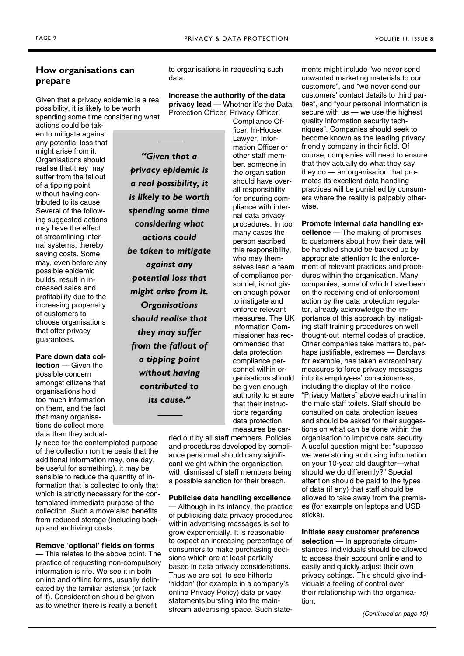# <span id="page-3-0"></span>**How organisations can prepare**

Given that a privacy epidemic is a real possibility, it is likely to be worth spending some time considering what

actions could be taken to mitigate against any potential loss that might arise from it. Organisations should realise that they may suffer from the fallout of a tipping point without having contributed to its cause. Several of the following suggested actions may have the effect of streamlining internal systems, thereby saving costs. Some may, even before any possible epidemic builds, result in increased sales and profitability due to the increasing propensity of customers to choose organisations that offer privacy guarantees.

**Pare down data collection** — Given the possible concern amongst citizens that organisations hold too much information on them, and the fact that many organisations do collect more data than they actual-

ly need for the contemplated purpose of the collection (on the basis that the additional information may, one day, be useful for something), it may be sensible to reduce the quantity of information that is collected to only that which is strictly necessary for the contemplated immediate purpose of the collection. Such a move also benefits from reduced storage (including backup and archiving) costs.

## **Remove 'optional' fields on forms**

— This relates to the above point. The practice of requesting non-compulsory information is rife. We see it in both online and offline forms, usually delineated by the familiar asterisk (or lack of it). Consideration should be given as to whether there is really a benefit

to organisations in requesting such data.

**Increase the authority of the data privacy lead** — Whether it's the Data Protection Officer, Privacy Officer,

*"Given that a* 

*considering what actions could* 

*against any potential loss that* 

*Organisations* 

*they may suffer* 

*a tipping point without having contributed to its cause."* 

Compliance Of-

ficer, In-House Lawyer, Information Officer or other staff member, someone in the organisation should have overall responsibility for ensuring compliance with internal data privacy procedures. In too many cases the person ascribed this responsibility, who may themselves lead a team of compliance personnel, is not given enough power to instigate and enforce relevant measures. The UK Information Commissioner has recommended that data protection compliance personnel within organisations should be given enough authority to ensure that their instructions regarding data protection measures be car*privacy epidemic is a real possibility, it is likely to be worth spending some time be taken to mitigate might arise from it. should realise that from the fallout of* 

ried out by all staff members. Policies and procedures developed by compliance personnal should carry significant weight within the organisation, with dismissal of staff members being a possible sanction for their breach.

## **Publicise data handling excellence**

— Although in its infancy, the practice of publicising data privacy procedures within advertising messages is set to grow exponentially. It is reasonable to expect an increasing percentage of consumers to make purchasing decisions which are at least partially based in data privacy considerations. Thus we are set to see hitherto 'hidden' (for example in a company's online Privacy Policy) data privacy statements bursting into the mainstream advertising space. Such statements might include "we never send unwanted marketing materials to our customers", and "we never send our customers' contact details to third parties", and "your personal information is secure with us — we use the highest quality information security techniques". Companies should seek to become known as the leading privacy friendly company in their field. Of course, companies will need to ensure that they actually do what they say they do — an organisation that promotes its excellent data handling practices will be punished by consumers where the reality is palpably otherwise.

**Promote internal data handling excellence** — The making of promises to customers about how their data will be handled should be backed up by appropriate attention to the enforcement of relevant practices and procedures within the organisation. Many companies, some of which have been on the receiving end of enforcement action by the data protection regulator, already acknowledge the importance of this approach by instigating staff training procedures on well thought-out internal codes of practice. Other companies take matters to, perhaps justifiable, extremes — Barclays, for example, has taken extraordinary measures to force privacy messages into its employees' consciousness, including the display of the notice "Privacy Matters" above each urinal in the male staff toilets. Staff should be consulted on data protection issues and should be asked for their suggestions on what can be done within the organisation to improve data security. A useful question might be: "suppose we were storing and using information on your 10-year old daughter—what should we do differently?" Special attention should be paid to the types of data (if any) that staff should be allowed to take away from the premises (for example on laptops and USB sticks).

**Initiate easy customer preference** 

selection - In appropriate circumstances, individuals should be allowed to access their account online and to easily and quickly adjust their own privacy settings. This should give individuals a feeling of control over their relationship with the organisation.

*[\(Continued on page 10\)](#page-4-0)*